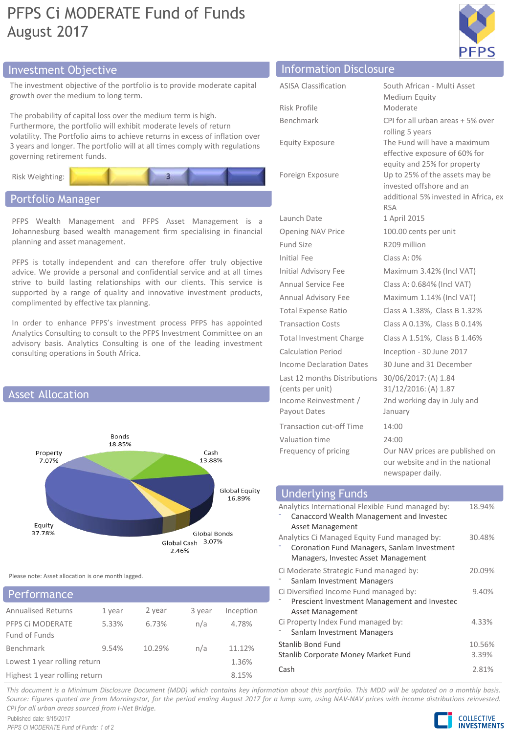## PFPS Ci MODERATE Fund of Funds August 2017



## Investment Objective Information Disclosure

The investment objective of the portfolio is to provide moderate capital growth over the medium to long term.

The probability of capital loss over the medium term is high. Furthermore, the portfolio will exhibit moderate levels of return volatility. The Portfolio aims to achieve returns in excess of inflation over 3 years and longer. The portfolio will at all times comply with regulations governing retirement funds.



## Portfolio Manager

PFPS Wealth Management and PFPS Asset Management is a Johannesburg based wealth management firm specialising in financial planning and asset management.

PFPS is totally independent and can therefore offer truly objective advice. We provide a personal and confidential service and at all times strive to build lasting relationships with our clients. This service is supported by a range of quality and innovative investment products, complimented by effective tax planning.

In order to enhance PFPS's investment process PFPS has appointed Analytics Consulting to consult to the PFPS Investment Committee on an advisory basis. Analytics Consulting is one of the leading investment consulting operations in South Africa.



Please note: Asset allocation is one month lagged.

| Performance                       |        |        |        |           |  |
|-----------------------------------|--------|--------|--------|-----------|--|
| <b>Annualised Returns</b>         | 1 year | 2 year | 3 year | Inception |  |
| PFPS CI MODERATE<br>Fund of Funds | 5.33%  | 6.73%  | n/a    | 4.78%     |  |
| Benchmark                         | 9.54%  | 10.29% | n/a    | 11.12%    |  |
| Lowest 1 year rolling return      |        |        | 1.36%  |           |  |
| Highest 1 year rolling return     |        |        |        | 8.15%     |  |

| <b>IIIIUI IIIALIUII DISCIUSUI <del>C</del></b>                                            |                                                                                                                  |
|-------------------------------------------------------------------------------------------|------------------------------------------------------------------------------------------------------------------|
| <b>ASISA Classification</b>                                                               | South African - Multi Asset<br>Medium Equity                                                                     |
| Risk Profile                                                                              | Moderate                                                                                                         |
| Benchmark                                                                                 | CPI for all urban areas + 5% over<br>rolling 5 years                                                             |
| <b>Equity Exposure</b>                                                                    | The Fund will have a maximum<br>effective exposure of 60% for<br>equity and 25% for property                     |
| Foreign Exposure                                                                          | Up to 25% of the assets may be<br>invested offshore and an<br>additional 5% invested in Africa, ex<br><b>RSA</b> |
| Launch Date                                                                               | 1 April 2015                                                                                                     |
| <b>Opening NAV Price</b>                                                                  | 100.00 cents per unit                                                                                            |
| <b>Fund Size</b>                                                                          | R209 million                                                                                                     |
| Initial Fee                                                                               | Class A: $0\%$                                                                                                   |
| Initial Advisory Fee                                                                      | Maximum 3.42% (Incl VAT)                                                                                         |
| Annual Service Fee                                                                        | Class A: 0.684% (Incl VAT)                                                                                       |
| Annual Advisory Fee                                                                       | Maximum 1.14% (Incl VAT)                                                                                         |
| <b>Total Expense Ratio</b>                                                                | Class A 1.38%, Class B 1.32%                                                                                     |
| <b>Transaction Costs</b>                                                                  | Class A 0.13%, Class B 0.14%                                                                                     |
| <b>Total Investment Charge</b>                                                            | Class A 1.51%, Class B 1.46%                                                                                     |
| Calculation Period                                                                        | Inception - 30 June 2017                                                                                         |
| Income Declaration Dates                                                                  | 30 June and 31 December                                                                                          |
| Last 12 months Distributions<br>(cents per unit)<br>Income Reinvestment /<br>Payout Dates | 30/06/2017: (A) 1.84<br>31/12/2016: (A) 1.87<br>2nd working day in July and<br>January                           |
| <b>Transaction cut-off Time</b>                                                           | 14:00                                                                                                            |
| Valuation time                                                                            | 24:00                                                                                                            |

Frequency of pricing Our NAV prices are published on our website and in the national newspaper daily.

| <b>Underlying Funds</b>                                                                                                                                |                 |
|--------------------------------------------------------------------------------------------------------------------------------------------------------|-----------------|
| Analytics International Flexible Fund managed by:<br>Canaccord Wealth Management and Investec                                                          | 18.94%          |
| Asset Management<br>Analytics Ci Managed Equity Fund managed by:<br>Coronation Fund Managers, Sanlam Investment<br>Managers, Investec Asset Management | 30.48%          |
| Ci Moderate Strategic Fund managed by:<br>Sanlam Investment Managers                                                                                   | 20.09%          |
| Ci Diversified Income Fund managed by:<br>Prescient Investment Management and Investec<br>Asset Management                                             | 9.40%           |
| Ci Property Index Fund managed by:<br>Sanlam Investment Managers                                                                                       | 4.33%           |
| Stanlib Bond Fund<br>Stanlib Corporate Money Market Fund                                                                                               | 10.56%<br>3.39% |
| Cash                                                                                                                                                   | 2.81%           |

This document is a Minimum Disclosure Document (MDD) which contains key information about this portfolio. This MDD will be updated on a monthly basis. Source: Figures quoted are from Morningstar, for the period ending August 2017 for a lump sum, using NAV-NAV prices with income distributions reinvested. *CPI for all urban areas sourced from I-Net Bridge.*

Published date: 9/15/2017 *PFPS Ci MODERATE Fund of Funds: 1 of 2*